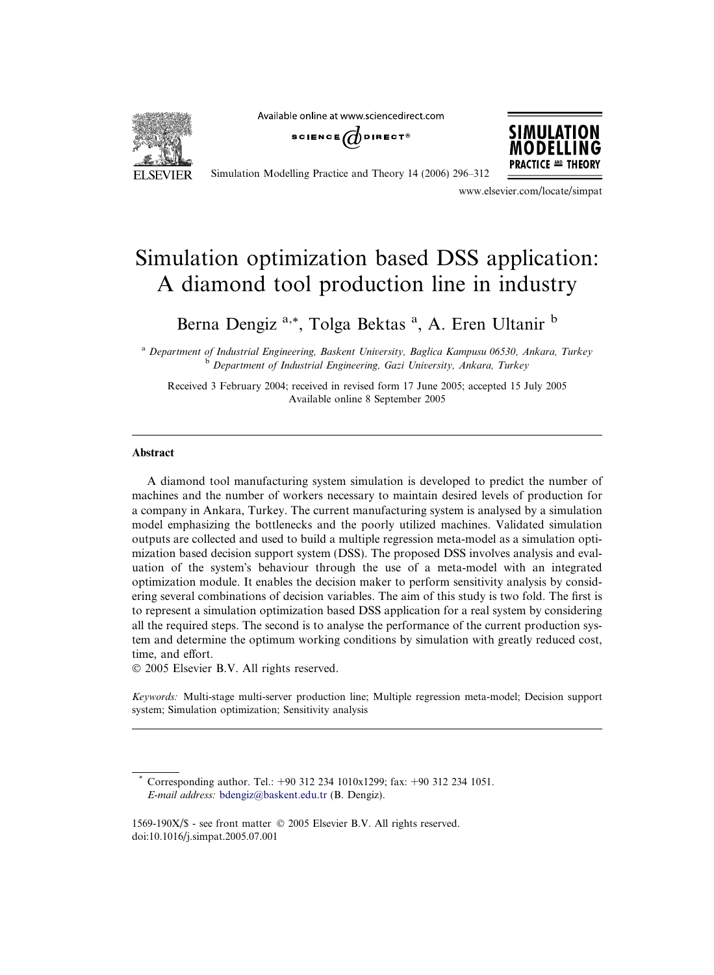Available online at www.sciencedirect.com







Simulation Modelling Practice and Theory 14 (2006) 296–312

www.elsevier.com/locate/simpat

## Simulation optimization based DSS application: A diamond tool production line in industry

Berna Dengiz<sup>a,\*</sup>, Tolga Bektas<sup>a</sup>, A. Eren Ultanir b

<sup>a</sup> Department of Industrial Engineering, Baskent University, Baglica Kampusu 06530, Ankara, Turkey <sup>b</sup> Department of Industrial Engineering, Gazi University, Ankara, Turkey

Received 3 February 2004; received in revised form 17 June 2005; accepted 15 July 2005 Available online 8 September 2005

#### Abstract

A diamond tool manufacturing system simulation is developed to predict the number of machines and the number of workers necessary to maintain desired levels of production for a company in Ankara, Turkey. The current manufacturing system is analysed by a simulation model emphasizing the bottlenecks and the poorly utilized machines. Validated simulation outputs are collected and used to build a multiple regression meta-model as a simulation optimization based decision support system (DSS). The proposed DSS involves analysis and evaluation of the system's behaviour through the use of a meta-model with an integrated optimization module. It enables the decision maker to perform sensitivity analysis by considering several combinations of decision variables. The aim of this study is two fold. The first is to represent a simulation optimization based DSS application for a real system by considering all the required steps. The second is to analyse the performance of the current production system and determine the optimum working conditions by simulation with greatly reduced cost, time, and effort.

2005 Elsevier B.V. All rights reserved.

Keywords: Multi-stage multi-server production line; Multiple regression meta-model; Decision support system; Simulation optimization; Sensitivity analysis

Corresponding author. Tel.: +90 312 234 1010x1299; fax: +90 312 234 1051. E-mail address: [bdengiz@baskent.edu.tr](mailto:bdengiz@baskent.edu.tr) (B. Dengiz).

<sup>1569-190</sup>X/\$ - see front matter 2005 Elsevier B.V. All rights reserved. doi:10.1016/j.simpat.2005.07.001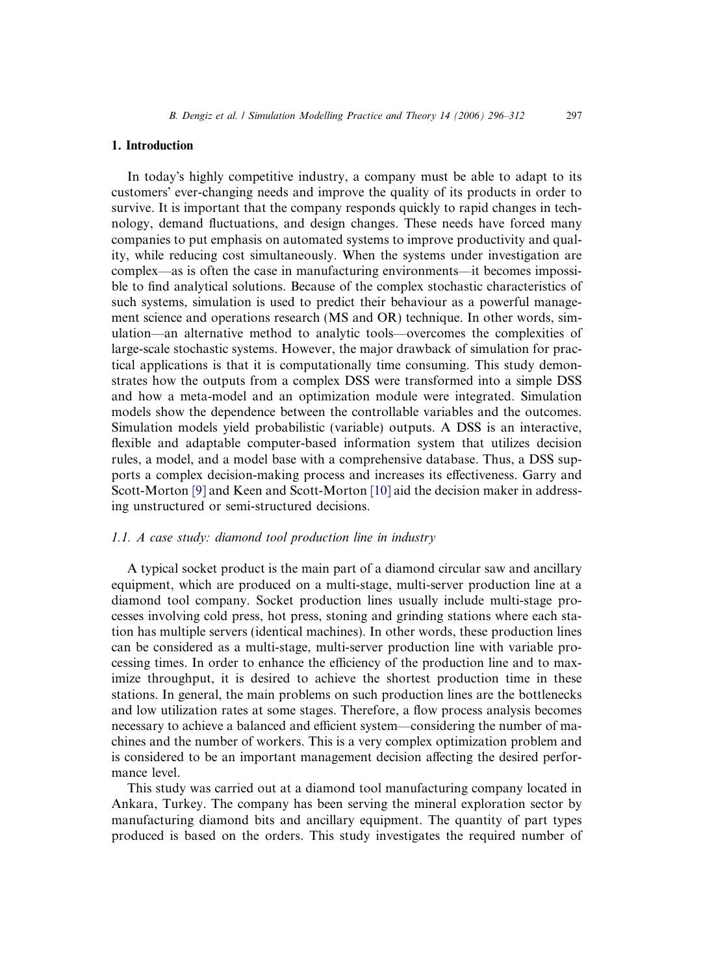#### 1. Introduction

In todays highly competitive industry, a company must be able to adapt to its customers' ever-changing needs and improve the quality of its products in order to survive. It is important that the company responds quickly to rapid changes in technology, demand fluctuations, and design changes. These needs have forced many companies to put emphasis on automated systems to improve productivity and quality, while reducing cost simultaneously. When the systems under investigation are complex—as is often the case in manufacturing environments—it becomes impossible to find analytical solutions. Because of the complex stochastic characteristics of such systems, simulation is used to predict their behaviour as a powerful management science and operations research (MS and OR) technique. In other words, simulation—an alternative method to analytic tools—overcomes the complexities of large-scale stochastic systems. However, the major drawback of simulation for practical applications is that it is computationally time consuming. This study demonstrates how the outputs from a complex DSS were transformed into a simple DSS and how a meta-model and an optimization module were integrated. Simulation models show the dependence between the controllable variables and the outcomes. Simulation models yield probabilistic (variable) outputs. A DSS is an interactive, flexible and adaptable computer-based information system that utilizes decision rules, a model, and a model base with a comprehensive database. Thus, a DSS supports a complex decision-making process and increases its effectiveness. Garry and Scott-Morton [\[9\]](#page--1-0) and Keen and Scott-Morton [\[10\]](#page--1-0) aid the decision maker in addressing unstructured or semi-structured decisions.

### 1.1. A case study: diamond tool production line in industry

A typical socket product is the main part of a diamond circular saw and ancillary equipment, which are produced on a multi-stage, multi-server production line at a diamond tool company. Socket production lines usually include multi-stage processes involving cold press, hot press, stoning and grinding stations where each station has multiple servers (identical machines). In other words, these production lines can be considered as a multi-stage, multi-server production line with variable processing times. In order to enhance the efficiency of the production line and to maximize throughput, it is desired to achieve the shortest production time in these stations. In general, the main problems on such production lines are the bottlenecks and low utilization rates at some stages. Therefore, a flow process analysis becomes necessary to achieve a balanced and efficient system—considering the number of machines and the number of workers. This is a very complex optimization problem and is considered to be an important management decision affecting the desired performance level.

This study was carried out at a diamond tool manufacturing company located in Ankara, Turkey. The company has been serving the mineral exploration sector by manufacturing diamond bits and ancillary equipment. The quantity of part types produced is based on the orders. This study investigates the required number of